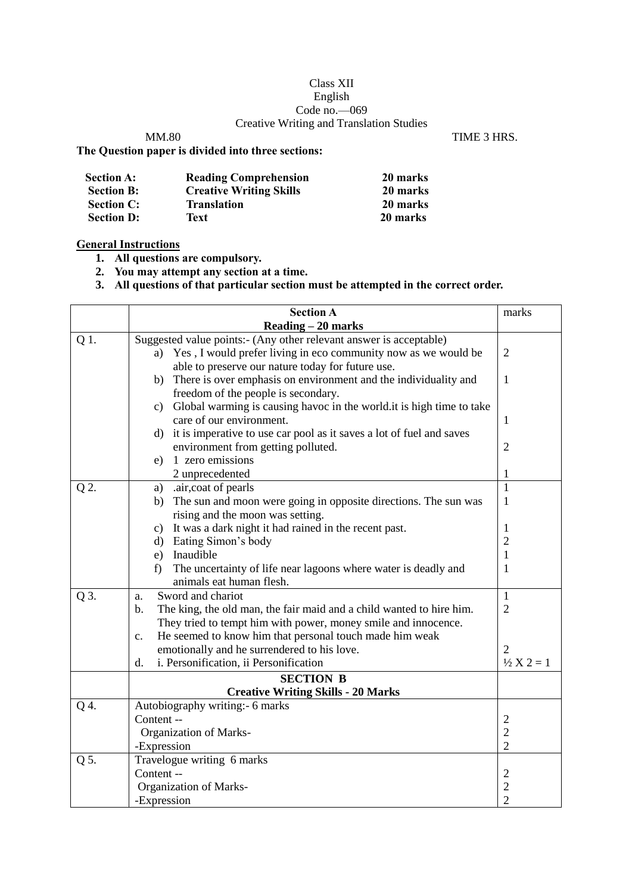## Class XII English Code no.—069 Creative Writing and Translation Studies

MM.80 TIME 3 HRS.

## **The Question paper is divided into three sections:**

| <b>Section A:</b> | <b>Reading Comprehension</b>   | 20 marks |
|-------------------|--------------------------------|----------|
| <b>Section B:</b> | <b>Creative Writing Skills</b> | 20 marks |
| <b>Section C:</b> | <b>Translation</b>             | 20 marks |
| <b>Section D:</b> | Text                           | 20 marks |

## **General Instructions**

**1. All questions are compulsory.**

**2. You may attempt any section at a time.**

**3. All questions of that particular section must be attempted in the correct order.**

|      | <b>Section A</b>                                                                      | marks                            |  |  |  |
|------|---------------------------------------------------------------------------------------|----------------------------------|--|--|--|
|      | Reading - 20 marks                                                                    |                                  |  |  |  |
| Q 1. | Suggested value points:- (Any other relevant answer is acceptable)                    |                                  |  |  |  |
|      | Yes, I would prefer living in eco community now as we would be<br>a)                  | $\overline{2}$                   |  |  |  |
|      | able to preserve our nature today for future use.                                     |                                  |  |  |  |
|      | There is over emphasis on environment and the individuality and<br>b)                 | 1                                |  |  |  |
|      | freedom of the people is secondary.                                                   |                                  |  |  |  |
|      | Global warming is causing havoc in the world.it is high time to take<br>c)            |                                  |  |  |  |
|      | care of our environment.                                                              | 1                                |  |  |  |
|      | d) it is imperative to use car pool as it saves a lot of fuel and saves               |                                  |  |  |  |
|      | environment from getting polluted.                                                    | $\mathbf{2}$                     |  |  |  |
|      | 1 zero emissions<br>e)                                                                |                                  |  |  |  |
|      | 2 unprecedented                                                                       | 1                                |  |  |  |
| Q 2. | .air, coat of pearls<br>a)                                                            | $\mathbf{1}$                     |  |  |  |
|      | The sun and moon were going in opposite directions. The sun was<br>b)                 | 1                                |  |  |  |
|      | rising and the moon was setting.                                                      |                                  |  |  |  |
|      | c) It was a dark night it had rained in the recent past.                              | 1                                |  |  |  |
|      | d) Eating Simon's body                                                                | $\overline{c}$                   |  |  |  |
|      | e) Inaudible                                                                          | $\mathbf{1}$                     |  |  |  |
|      | The uncertainty of life near lagoons where water is deadly and<br>f                   | 1                                |  |  |  |
|      | animals eat human flesh.                                                              |                                  |  |  |  |
| Q 3. | Sword and chariot<br>a.                                                               | $\mathbf{1}$                     |  |  |  |
|      | $\mathbf b$ .<br>The king, the old man, the fair maid and a child wanted to hire him. | $\overline{2}$                   |  |  |  |
|      | They tried to tempt him with power, money smile and innocence.                        |                                  |  |  |  |
|      | He seemed to know him that personal touch made him weak<br>$\mathbf{c}$ .             |                                  |  |  |  |
|      | emotionally and he surrendered to his love.                                           | 2<br>$\frac{1}{2}$ X 2 = 1       |  |  |  |
|      | i. Personification, ii Personification<br>d.                                          |                                  |  |  |  |
|      | <b>SECTION B</b>                                                                      |                                  |  |  |  |
|      | <b>Creative Writing Skills - 20 Marks</b>                                             |                                  |  |  |  |
| Q 4. | Autobiography writing: - 6 marks                                                      |                                  |  |  |  |
|      | Content --                                                                            | $\overline{c}$                   |  |  |  |
|      | <b>Organization of Marks-</b><br>-Expression                                          | $\overline{c}$<br>$\overline{2}$ |  |  |  |
| Q 5. | Travelogue writing 6 marks                                                            |                                  |  |  |  |
|      | Content --                                                                            | $\overline{2}$                   |  |  |  |
|      | <b>Organization of Marks-</b>                                                         |                                  |  |  |  |
|      | -Expression                                                                           | $\overline{c}$<br>$\overline{2}$ |  |  |  |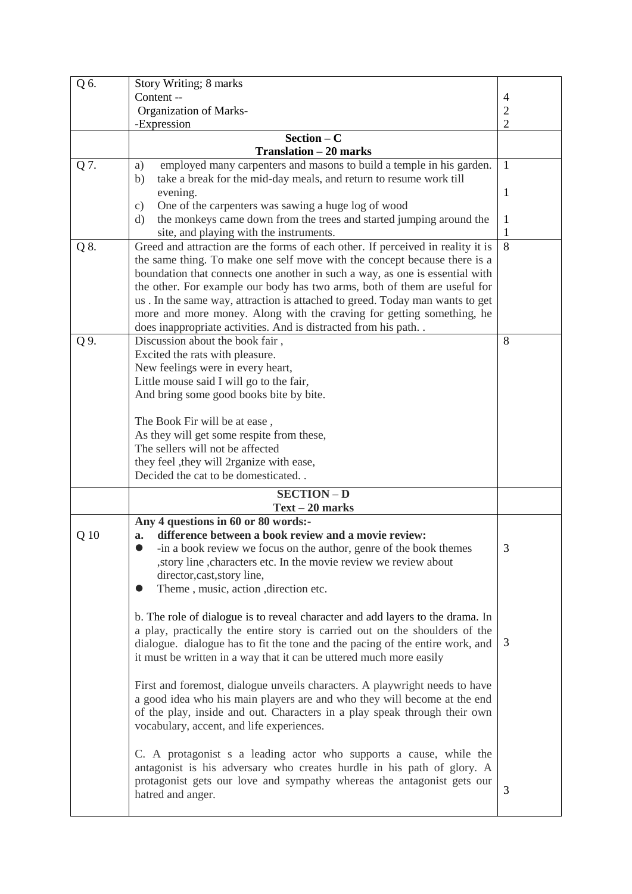| Q 6. | Story Writing; 8 marks                                                              |                |  |  |  |
|------|-------------------------------------------------------------------------------------|----------------|--|--|--|
|      | Content --                                                                          | $\overline{4}$ |  |  |  |
|      | <b>Organization of Marks-</b>                                                       | 2              |  |  |  |
|      | -Expression                                                                         | $\overline{2}$ |  |  |  |
|      | $Section - C$                                                                       |                |  |  |  |
|      | <b>Translation - 20 marks</b>                                                       |                |  |  |  |
|      |                                                                                     |                |  |  |  |
| Q 7. | employed many carpenters and masons to build a temple in his garden.<br>a)          | $\mathbf{1}$   |  |  |  |
|      | take a break for the mid-day meals, and return to resume work till<br>b)            |                |  |  |  |
|      | evening.                                                                            | 1              |  |  |  |
|      | One of the carpenters was sawing a huge log of wood<br>c)                           |                |  |  |  |
|      | the monkeys came down from the trees and started jumping around the<br>$\mathrm{d}$ | $\mathbf{1}$   |  |  |  |
|      | site, and playing with the instruments.                                             | 1              |  |  |  |
| Q 8. | Greed and attraction are the forms of each other. If perceived in reality it is     | 8              |  |  |  |
|      | the same thing. To make one self move with the concept because there is a           |                |  |  |  |
|      | boundation that connects one another in such a way, as one is essential with        |                |  |  |  |
|      | the other. For example our body has two arms, both of them are useful for           |                |  |  |  |
|      |                                                                                     |                |  |  |  |
|      | us. In the same way, attraction is attached to greed. Today man wants to get        |                |  |  |  |
|      | more and more money. Along with the craving for getting something, he               |                |  |  |  |
|      | does inappropriate activities. And is distracted from his path. .                   |                |  |  |  |
| Q 9. | Discussion about the book fair,                                                     | 8              |  |  |  |
|      | Excited the rats with pleasure.                                                     |                |  |  |  |
|      | New feelings were in every heart,                                                   |                |  |  |  |
|      | Little mouse said I will go to the fair,                                            |                |  |  |  |
|      | And bring some good books bite by bite.                                             |                |  |  |  |
|      |                                                                                     |                |  |  |  |
|      | The Book Fir will be at ease,                                                       |                |  |  |  |
|      | As they will get some respite from these,                                           |                |  |  |  |
|      | The sellers will not be affected                                                    |                |  |  |  |
|      | they feel , they will 2rganize with ease,                                           |                |  |  |  |
|      | Decided the cat to be domesticated                                                  |                |  |  |  |
|      |                                                                                     |                |  |  |  |
|      | <b>SECTION - D</b>                                                                  |                |  |  |  |
|      | $Text-20 marks$                                                                     |                |  |  |  |
|      | Any 4 questions in 60 or 80 words:-                                                 |                |  |  |  |
| Q 10 | difference between a book review and a movie review:<br>a.                          |                |  |  |  |
|      | -in a book review we focus on the author, genre of the book themes                  | 3              |  |  |  |
|      | , story line , characters etc. In the movie review we review about                  |                |  |  |  |
|      | director, cast, story line,                                                         |                |  |  |  |
|      | Theme, music, action, direction etc.                                                |                |  |  |  |
|      |                                                                                     |                |  |  |  |
|      | b. The role of dialogue is to reveal character and add layers to the drama. In      |                |  |  |  |
|      |                                                                                     |                |  |  |  |
|      | a play, practically the entire story is carried out on the shoulders of the         |                |  |  |  |
|      | dialogue. dialogue has to fit the tone and the pacing of the entire work, and       | 3              |  |  |  |
|      | it must be written in a way that it can be uttered much more easily                 |                |  |  |  |
|      |                                                                                     |                |  |  |  |
|      | First and foremost, dialogue unveils characters. A playwright needs to have         |                |  |  |  |
|      | a good idea who his main players are and who they will become at the end            |                |  |  |  |
|      | of the play, inside and out. Characters in a play speak through their own           |                |  |  |  |
|      | vocabulary, accent, and life experiences.                                           |                |  |  |  |
|      |                                                                                     |                |  |  |  |
|      | C. A protagonist s a leading actor who supports a cause, while the                  |                |  |  |  |
|      | antagonist is his adversary who creates hurdle in his path of glory. A              |                |  |  |  |
|      | protagonist gets our love and sympathy whereas the antagonist gets our              |                |  |  |  |
|      |                                                                                     | 3              |  |  |  |
|      | hatred and anger.                                                                   |                |  |  |  |
|      |                                                                                     |                |  |  |  |